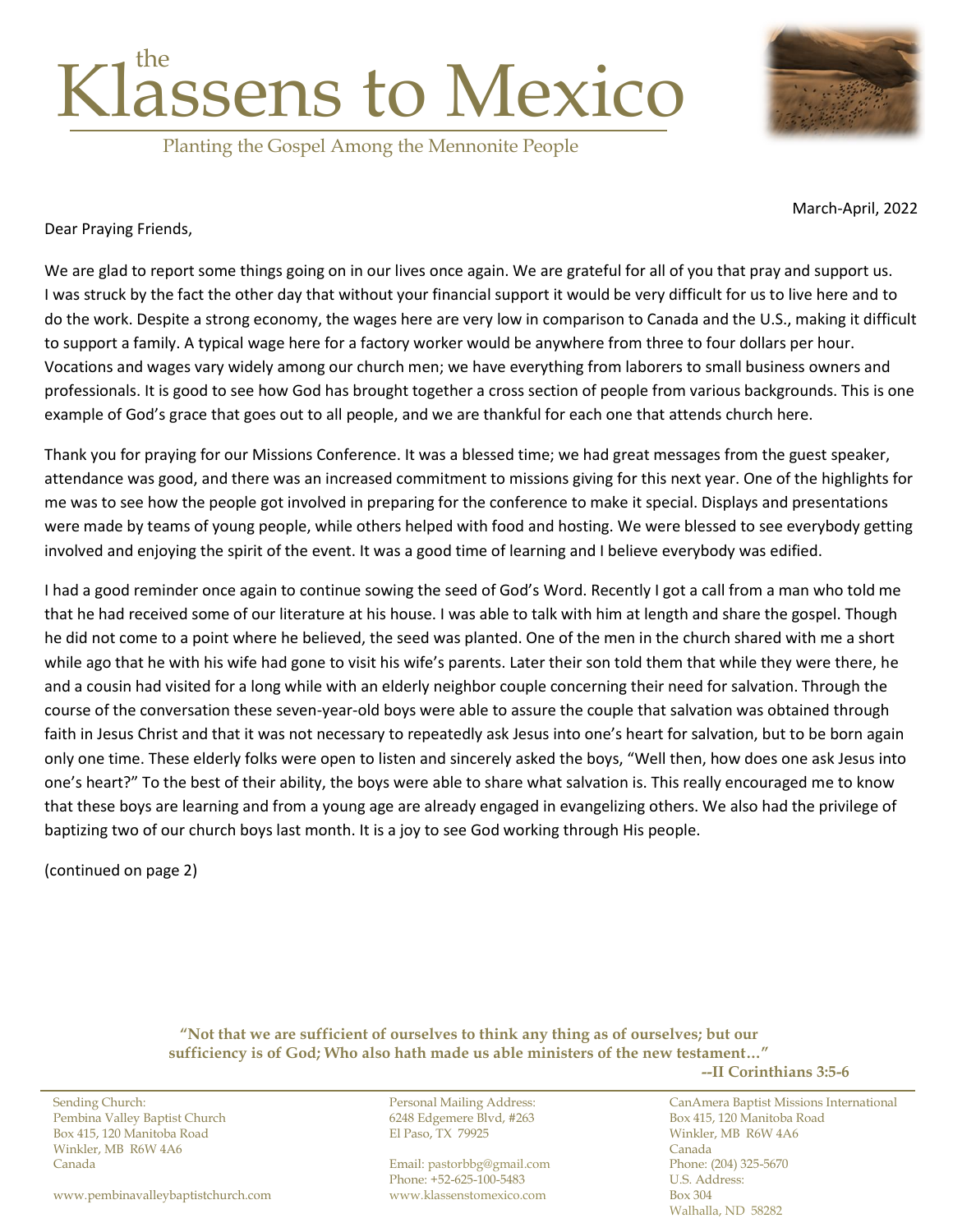

Planting the Gospel Among the Mennonite People



March-April, 2022

Dear Praying Friends,

We are glad to report some things going on in our lives once again. We are grateful for all of you that pray and support us. I was struck by the fact the other day that without your financial support it would be very difficult for us to live here and to do the work. Despite a strong economy, the wages here are very low in comparison to Canada and the U.S., making it difficult to support a family. A typical wage here for a factory worker would be anywhere from three to four dollars per hour. Vocations and wages vary widely among our church men; we have everything from laborers to small business owners and professionals. It is good to see how God has brought together a cross section of people from various backgrounds. This is one example of God's grace that goes out to all people, and we are thankful for each one that attends church here.

Thank you for praying for our Missions Conference. It was a blessed time; we had great messages from the guest speaker, attendance was good, and there was an increased commitment to missions giving for this next year. One of the highlights for me was to see how the people got involved in preparing for the conference to make it special. Displays and presentations were made by teams of young people, while others helped with food and hosting. We were blessed to see everybody getting involved and enjoying the spirit of the event. It was a good time of learning and I believe everybody was edified.

I had a good reminder once again to continue sowing the seed of God's Word. Recently I got a call from a man who told me that he had received some of our literature at his house. I was able to talk with him at length and share the gospel. Though he did not come to a point where he believed, the seed was planted. One of the men in the church shared with me a short while ago that he with his wife had gone to visit his wife's parents. Later their son told them that while they were there, he and a cousin had visited for a long while with an elderly neighbor couple concerning their need for salvation. Through the course of the conversation these seven-year-old boys were able to assure the couple that salvation was obtained through faith in Jesus Christ and that it was not necessary to repeatedly ask Jesus into one's heart for salvation, but to be born again only one time. These elderly folks were open to listen and sincerely asked the boys, "Well then, how does one ask Jesus into one's heart?" To the best of their ability, the boys were able to share what salvation is. This really encouraged me to know that these boys are learning and from a young age are already engaged in evangelizing others. We also had the privilege of baptizing two of our church boys last month. It is a joy to see God working through His people.

(continued on page 2)

**"Not that we are sufficient of ourselves to think any thing as of ourselves; but our sufficiency is of God; Who also hath made us able ministers of the new testament…" --II Corinthians 3:5-6**

Pembina Valley Baptist Church 6248 Edgemere Blvd, #263 Box 415, 120 Manitoba Road Box 415, 120 Manitoba Road El Paso, TX 79925 Winkler, MB R6W 4A6 Winkler, MB R6W 4A6 Canada

[www.pembinavalleybaptistchurch.com](http://www.pembinavalleybaptistchurch.com/) [www.klassenstomexico.com](http://www.klassenstomexico.com/) Box 304

Canada Email: [pastorbbg@gmail.com](mailto:pastorbbg@gmail.com) Phone: (204) 325-5670 Phone: +52-625-100-5483

Sending Church: Personal Mailing Address: CanAmera Baptist Missions International Walhalla, ND 58282